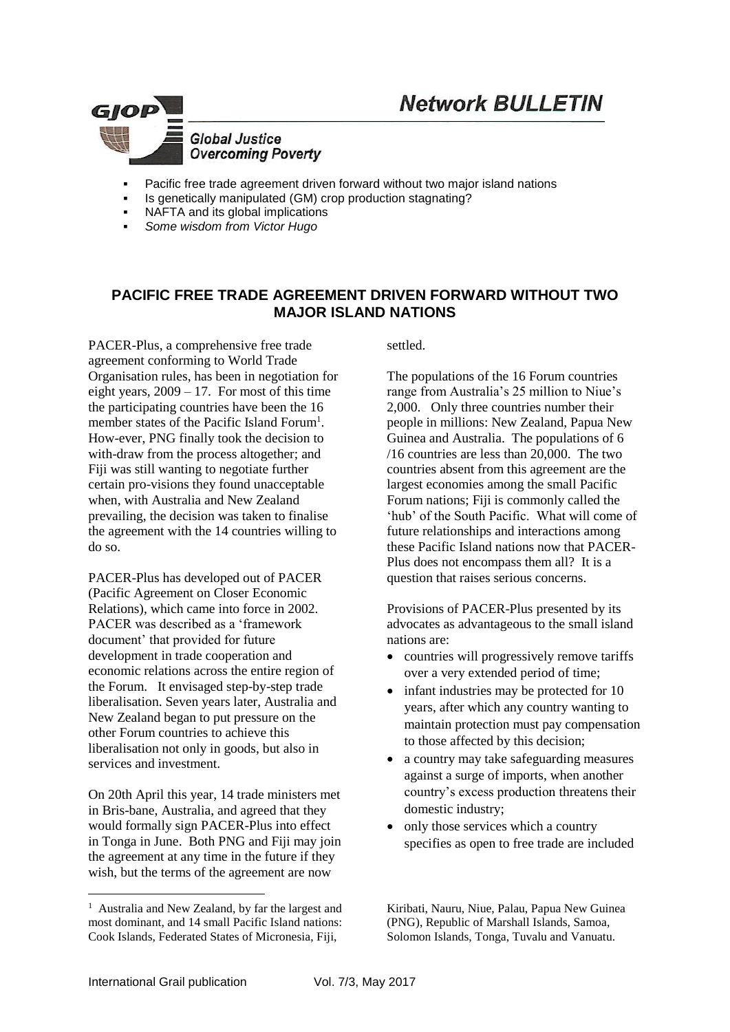



- Pacific free trade agreement driven forward without two major island nations
- Is genetically manipulated (GM) crop production stagnating?
- NAFTA and its global implications
- *Some wisdom from Victor Hugo*

### **PACIFIC FREE TRADE AGREEMENT DRIVEN FORWARD WITHOUT TWO MAJOR ISLAND NATIONS**

PACER-Plus, a comprehensive free trade agreement conforming to World Trade Organisation rules, has been in negotiation for eight years,  $2009 - 17$ . For most of this time the participating countries have been the 16 member states of the Pacific Island Forum<sup>1</sup>. How-ever, PNG finally took the decision to with-draw from the process altogether; and Fiji was still wanting to negotiate further certain pro-visions they found unacceptable when, with Australia and New Zealand prevailing, the decision was taken to finalise the agreement with the 14 countries willing to do so.

PACER-Plus has developed out of PACER (Pacific Agreement on Closer Economic Relations), which came into force in 2002. PACER was described as a 'framework document' that provided for future development in trade cooperation and economic relations across the entire region of the Forum. It envisaged step-by-step trade liberalisation. Seven years later, Australia and New Zealand began to put pressure on the other Forum countries to achieve this liberalisation not only in goods, but also in services and investment.

On 20th April this year, 14 trade ministers met in Bris-bane, Australia, and agreed that they would formally sign PACER-Plus into effect in Tonga in June. Both PNG and Fiji may join the agreement at any time in the future if they wish, but the terms of the agreement are now

settled.

The populations of the 16 Forum countries range from Australia's 25 million to Niue's 2,000. Only three countries number their people in millions: New Zealand, Papua New Guinea and Australia. The populations of 6 /16 countries are less than 20,000. The two countries absent from this agreement are the largest economies among the small Pacific Forum nations; Fiji is commonly called the 'hub' of the South Pacific. What will come of future relationships and interactions among these Pacific Island nations now that PACER-Plus does not encompass them all? It is a question that raises serious concerns.

Provisions of PACER-Plus presented by its advocates as advantageous to the small island nations are:

- countries will progressively remove tariffs over a very extended period of time;
- infant industries may be protected for 10 years, after which any country wanting to maintain protection must pay compensation to those affected by this decision;
- a country may take safeguarding measures against a surge of imports, when another country's excess production threatens their domestic industry;
- only those services which a country specifies as open to free trade are included

<u>.</u>

<sup>&</sup>lt;sup>1</sup> Australia and New Zealand, by far the largest and most dominant, and 14 small Pacific Island nations: Cook Islands, Federated States of Micronesia, Fiji,

Kiribati, Nauru, Niue, Palau, Papua New Guinea (PNG), Republic of Marshall Islands, Samoa, Solomon Islands, Tonga, Tuvalu and Vanuatu.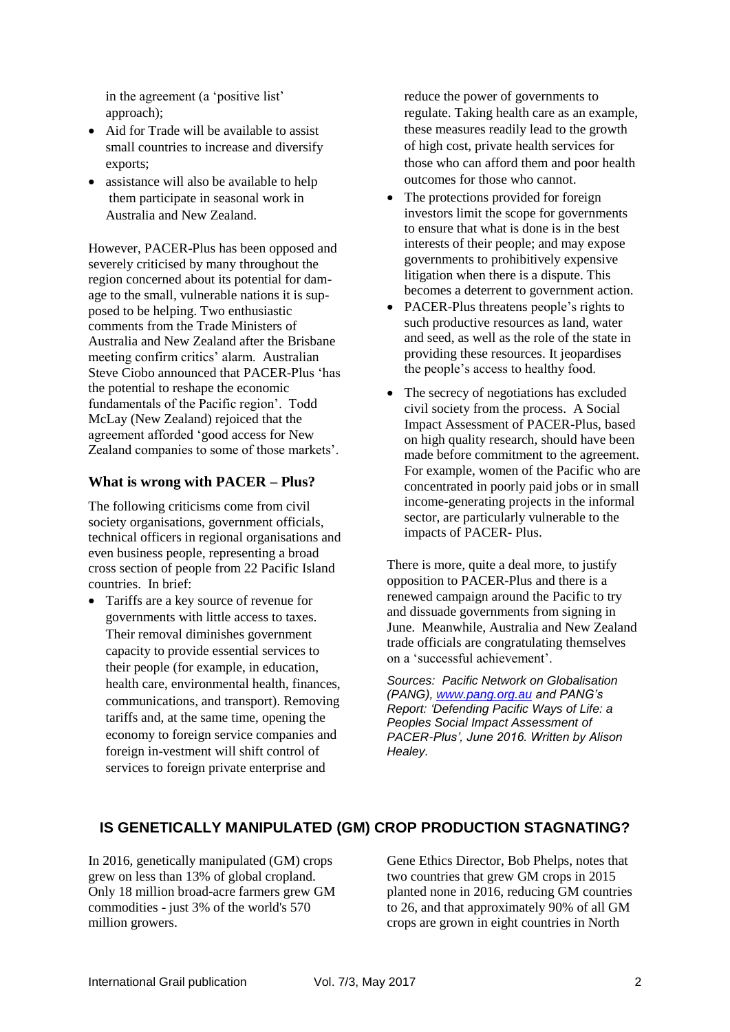in the agreement (a 'positive list' approach);

- Aid for Trade will be available to assist small countries to increase and diversify exports;
- assistance will also be available to help them participate in seasonal work in Australia and New Zealand.

However, PACER-Plus has been opposed and severely criticised by many throughout the region concerned about its potential for damage to the small, vulnerable nations it is supposed to be helping. Two enthusiastic comments from the Trade Ministers of Australia and New Zealand after the Brisbane meeting confirm critics' alarm. Australian Steve Ciobo announced that PACER-Plus 'has the potential to reshape the economic fundamentals of the Pacific region'. Todd McLay (New Zealand) rejoiced that the agreement afforded 'good access for New Zealand companies to some of those markets'.

#### **What is wrong with PACER – Plus?**

The following criticisms come from civil society organisations, government officials, technical officers in regional organisations and even business people, representing a broad cross section of people from 22 Pacific Island countries. In brief:

 Tariffs are a key source of revenue for governments with little access to taxes. Their removal diminishes government capacity to provide essential services to their people (for example, in education, health care, environmental health, finances, communications, and transport). Removing tariffs and, at the same time, opening the economy to foreign service companies and foreign in-vestment will shift control of services to foreign private enterprise and

reduce the power of governments to regulate. Taking health care as an example, these measures readily lead to the growth of high cost, private health services for those who can afford them and poor health outcomes for those who cannot.

- The protections provided for foreign investors limit the scope for governments to ensure that what is done is in the best interests of their people; and may expose governments to prohibitively expensive litigation when there is a dispute. This becomes a deterrent to government action.
- PACER-Plus threatens people's rights to such productive resources as land, water and seed, as well as the role of the state in providing these resources. It jeopardises the people's access to healthy food.
- The secrecy of negotiations has excluded civil society from the process. A Social Impact Assessment of PACER-Plus, based on high quality research, should have been made before commitment to the agreement. For example, women of the Pacific who are concentrated in poorly paid jobs or in small income-generating projects in the informal sector, are particularly vulnerable to the impacts of PACER- Plus.

There is more, quite a deal more, to justify opposition to PACER-Plus and there is a renewed campaign around the Pacific to try and dissuade governments from signing in June. Meanwhile, Australia and New Zealand trade officials are congratulating themselves on a 'successful achievement'.

*Sources: Pacific Network on Globalisation (PANG), [www.pang.org.au](http://www.pang.org.au/) and PANG's Report: 'Defending Pacific Ways of Life: a Peoples Social Impact Assessment of PACER-Plus', June 2016. Written by Alison Healey.*

# **IS GENETICALLY MANIPULATED (GM) CROP PRODUCTION STAGNATING?**

In 2016, genetically manipulated (GM) crops grew on less than 13% of global cropland. Only 18 million broad-acre farmers grew GM commodities - just 3% of the world's 570 million growers.

Gene Ethics Director, Bob Phelps, notes that two countries that grew GM crops in 2015 planted none in 2016, reducing GM countries to 26, and that approximately 90% of all GM crops are grown in eight countries in North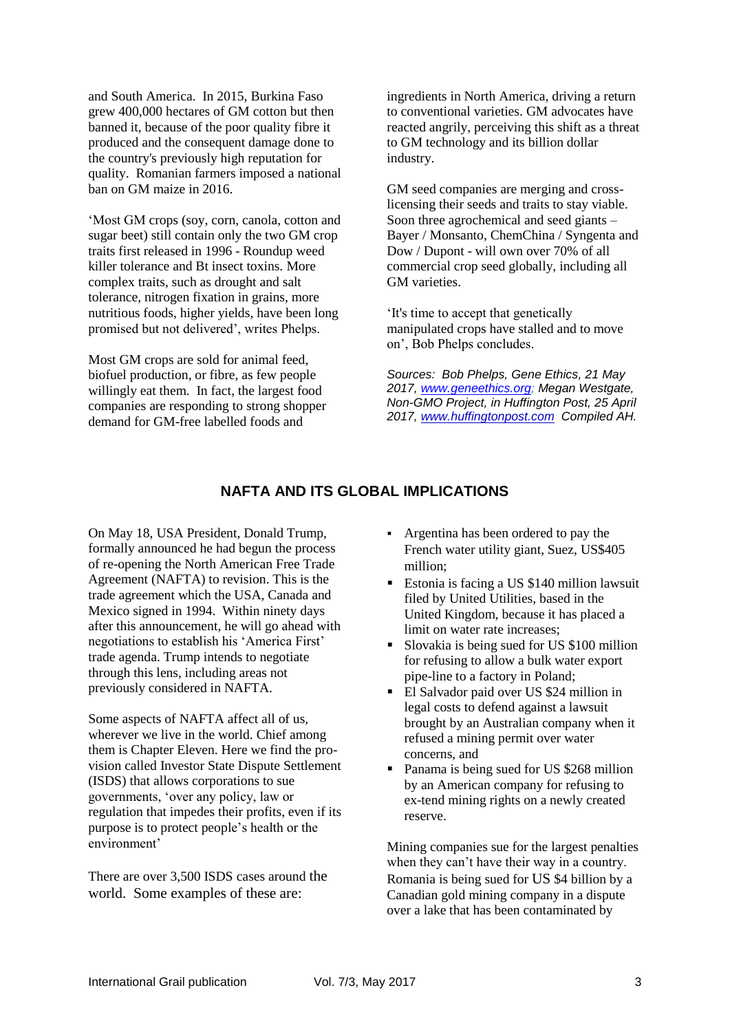and South America. In 2015, Burkina Faso grew 400,000 hectares of GM cotton but then banned it, because of the poor quality fibre it produced and the consequent damage done to the country's previously high reputation for quality. Romanian farmers imposed a national ban on GM maize in 2016.

'Most GM crops (soy, corn, canola, cotton and sugar beet) still contain only the two GM crop traits first released in 1996 - Roundup weed killer tolerance and Bt insect toxins. More complex traits, such as drought and salt tolerance, nitrogen fixation in grains, more nutritious foods, higher yields, have been long promised but not delivered', writes Phelps.

Most GM crops are sold for animal feed, biofuel production, or fibre, as few people willingly eat them. In fact, the largest food companies are responding to strong shopper demand for GM-free labelled foods and

ingredients in North America, driving a return to conventional varieties. GM advocates have reacted angrily, perceiving this shift as a threat to GM technology and its billion dollar industry.

GM seed companies are merging and crosslicensing their seeds and traits to stay viable. Soon three agrochemical and seed giants – Bayer / Monsanto, ChemChina / Syngenta and Dow / Dupont - will own over 70% of all commercial crop seed globally, including all GM varieties.

'It's time to accept that genetically manipulated crops have stalled and to move on', Bob Phelps concludes.

*Sources: Bob Phelps, Gene Ethics, 21 May 2017, [www.geneethics.org;](http://www.geneethics.org/) Megan Westgate, Non-GMO Project, in Huffington Post, 25 April 2017, [www.huffingtonpost.com](http://www.huffingtonpost.com/) Compiled AH.*

## **NAFTA AND ITS GLOBAL IMPLICATIONS**

On May 18, USA President, Donald Trump, formally announced he had begun the process of re-opening the North American Free Trade Agreement (NAFTA) to revision. This is the trade agreement which the USA, Canada and Mexico signed in 1994. Within ninety days after this announcement, he will go ahead with negotiations to establish his 'America First' trade agenda. Trump intends to negotiate through this lens, including areas not previously considered in NAFTA.

Some aspects of NAFTA affect all of us, wherever we live in the world. Chief among them is Chapter Eleven. Here we find the provision called Investor State Dispute Settlement (ISDS) that allows corporations to sue governments, 'over any policy, law or regulation that impedes their profits, even if its purpose is to protect people's health or the environment'

There are over 3,500 ISDS cases around the world. Some examples of these are:

- Argentina has been ordered to pay the French water utility giant, Suez, US\$405 million;
- Estonia is facing a US \$140 million lawsuit filed by United Utilities, based in the United Kingdom, because it has placed a limit on water rate increases;
- Slovakia is being sued for US \$100 million for refusing to allow a bulk water export pipe-line to a factory in Poland;
- El Salvador paid over US \$24 million in legal costs to defend against a lawsuit brought by an Australian company when it refused a mining permit over water concerns, and
- Panama is being sued for US \$268 million by an American company for refusing to ex-tend mining rights on a newly created reserve.

Mining companies sue for the largest penalties when they can't have their way in a country. Romania is being sued for US \$4 billion by a Canadian gold mining company in a dispute over a lake that has been contaminated by